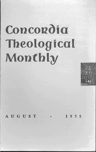# **Concordia Theological Monthly**



AUGUST + <sup>1</sup> 958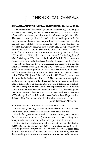# **THEOLOGICAL OBSERVER**

#### THE AUSTRALASIAN THEOLOGICAL REVIEW HONORS DR. HAMANN, SR.

*The Australasian Theological Review* of December 1957, which just now came to our desk, honors Dr. Henry Hamann, Sr., on the occasion of the golden anniversary of his ordination, observed on July 21, 1957. The issue is made up of articles written by his colleagues, with the exception of one book review composed by Dr. Hamann himself, who has ably and faithfully served Concordia College and Seminary in Adelaide, S. Australia, for more than a generation. The special number contains the jubilee sermon, preached by Prof. C. E. Zweck. An article by Prof. R. H. Altus tells of the excavations made by the French from 1933 to 1939 at Tell Hariri, near Haran, situated "in the kingdom of Mari." Writing on "The Date of the Exodus," Prof. F. Blaess examines the data pertaining to the Exodus and reaches the conclusion that "there seems to be nothing ... that would contradict the dating of the Exodus about the middle of the 15th century B.C." Prof. P. D. Pahl has supplied a most interesting article on "The Use of Scripture in 1 Clement" and its important bearing on the New Testament Canon. The unsigned article "What Did Jesus Believe Concerning His Death?", written no doubt by the jubilarian's son, Prof. H. P. Hamann, demonstrates against modern unbelieving critics that Jesus well knew the meaning and purpose of His death. The contributions are both interesting and instructive and in every way do honor to the senior professor, who now teaches at the Australian seminary on "modified service." Dr. Hamann graduated from Concordia Seminary, St. Louis, in 1907 and was a classmate of Dr. George Schick and the undersigned both in Fort Wayne and in St. Louis. May God abundantly bless- his labors also in the future.

JOHN THEODORE MUELLER

# GLEANINGS FROM THE CATHOLIC BIBLICAL QUARTERLY

In the *CEQ* (April 1958) there appear under the heading "Biblical and Archeological News" various reports that are of interest.

The Jordan government, favoring Western nations, now permits American citizens to secure at Jordan consulates a visa entitling them to any number of entries in Jordan over a period of four years.

At the first New England regional meeting of the Catholic Biblical Association one of the essayists, Rev. J. J. Collins, reported on the recently published Papyrus 66. He affirmed that the Wescott-Hort division into families of manuscripts needs to be restudied, cited evidence tending to diminish the alleged distance between P66 and Vati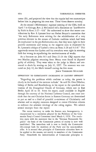canus (B), and projected the view that the copyist had two manuscripts before him in preparing his own text. These views deserve scrutiny.

At the second (Midwestern) regional meeting of the CBA, held on April 7 in Chicago, Rev. J. McConnell led a discussion on "Justification by Faith in Rom. 3:27-4:8." He endeavored to show that recent contributions by Rev. S. Lyonnet bear out Father Bouyer's contention that "the early Reformers were striving for the rehabilitation of a very precious element in the stream of Catholic tradition which had been de-emphasized in the pre-Reformation era; that they were tight in their positive statements and wrong in the negative ones is illustrated by Fr. Lyonnet's critique of Luther's views on Rom. 3:28 and 4:3-8." This apparently means that Luther and his coworkers were right in stressing faith but wrong in repudiating the meritoriousness of works.

As a footnote on John 8:5 and Deut. 22:24 the *CBQ* reports that two Muslim pilgrims returning from Mecca were found *in fiagranti*  guilty of adultery. They were taken to the judge in Mecca and sentenced to death by stoning on July 11, 1957. The sentence was executed on July 12, the Mufti himself casting the first stone.

JOHN THEODORE MUELLER

## OPPOSITION TO CHRISTIANITY INCREASING IN EASTERN GERMANY

"Regarding the problems which confront us today, the power is clearly in the hands of the extreme radicals." So said Dr. Otto Dibelius, bishop of Berlin and Brandenburg, in his report to the synodical convention of the Evangelical Church of Germany, which met in East Berlin April 26 to 30. From his report, made available in English through the courtesy of the National Lutheran Council, one must conclude that the anti-Christian forces in Eastern Germany are determined to put an end to a kind of peaceful co-existence of Christianity and atheism and to employ measures designed to coerce Christian citizens to embrace the atheistic ideology of the ruling regime. We submit several excerpts from the report:

The recent tendency to make the Eastern area homogeneous, is characterized by a resolution adopted by the Politburo of the Communist Party's Central Committee dated March 4, 1958. The resolution starts with the statement that in the "German Democratic Republic" the basis of the Communist pattern of society is now well established. The immediate task is now to fortify the Communist life-concept both for members of the Party and for non-members alike. It is stressed that principles of Communist education have to be applied to the masses, not merely to members of the Communist Party. Henceforth the indoctrination of Communist principles is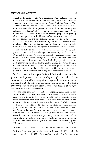placed at the center of all Party programs. The resolution goes on to declare it insufficient that in the previous years ten thousands of functionaries have been trained at the Party's Training Centers. The demand is for *new institutes* and for mass distribution of *new litera*ture. The new educational process is said to focus on "an early inculcation of atheism." Every belief in a supernatural Being "will be eliminated," because "such a belief prevents people from putting all their strength into the building of a Communist world society." ... In the general instruction outlines, priority is given to subject No. One: "Atheism - the Determining Factor in Dialectical Materialism." These and similar subjects are already the main propositions in a new big campaign against Christianity and the Church.

The contents of these propositions should not take us by surprise. . . . Only a few weeks ago, the official organ of the Unity Party had this to say: "There is no peaceful co-existence between the religious and the social ideologies." Mr. Erich Honecker, who was recently promoted to supreme Party leadership, proclaimed in the 35th plenary session of the Party's Central Committee: "The strength of the Marxist-Leninist Party rests on a uniform system of logic which leaves room neither to the belief in a personal God nor to supernatural powers nor to superstition nor to any other reactionary concepts."

In the course of his report Bishop Dibelius cites evidence how governmental pressures are endeavoring to replace the rite of confirmation, the church's blessing of marriage and matrimony, and the Christian burial rite with rites and ceremonies saturated with atheistic sentiments. But he does not despair. Out of the fullness of his Christian faith he told the convention:

We ourselves shall have to make a completely fresh start in the realm of education. We shall have to incorporate the Christian guidance of our children in the sphere of worship and sanctification much more profoundly than ever before. We shall have to rethink the order of confirmation too. In a new way the priesthood of all believers will have to be fulfilled. All this renewal shall be sought through joint meditation, through mutual and common deliberation, in East and West. In East and West, we are one Church, and may God grant that we remain one Church. . . . We do trust in these real experiences, but even more so in the promise given by the risen Lord to those who would follow Him. Giving thanks and taking comfort, we hold up His saying that the gates of Hell shall not prevail against His people. P.M.B.

ORIGINAL TEXT - TRANSLATION - INTERPRETATION - PREACHING

In his brilliant and provocative lectures delivered in 1953 and published under the title *Die Geschichtlichkeit der Kirche und ihrer*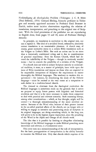*Verkundigung als theologisches Problem* (Tiibingen: J. c. B. Mohr [Paul Siebeck], 1954) Gerhard Ebeling, formerly professor in Tübingen and recently appointed successor to Professor Emil Brunner in Zurich, makes some incisive observations regarding the relation of translation, interpretation, and preaching to the original text of Scripture. With the kind permission of the publisher we are reproducing in English dress, from pages 19 and 20, some of Professor Ebeling's remarks:

In principle, no translation is equivalent to the original text, nor can it replace it. The ideal of a so-called literal, exhaustive, absolutely correct translation is an unattainable phantom. A church may, of course, grant normative status to a certain Bible translation such as the Vulgate or Luther's Bible. But such an action can be no more than a historically conditioned ruling and is due to considerations of practical expediency. Even the Roman Church, which had decreed the infallibility of the Vulgate - though in cautiously worded terms - had to concede the possibility of a revision of the Vulgate.

If a church does not wish to subject Scripture entirely to ecclesiastical tradition, it must, as a matter of principle, leave wide open the issue of Bible translations and impose on those who are expected to be responsible interpreters of Scripture the requirement to master thoroughly the Biblical languages. The tendency to weaken this requirement - for instance, by abandoning the study of the Hebrew language - must be resisted at the very outset as a temptation to seek shelter in a tradition-bound church.

The demand to eliminate from the theological curriculum the Biblical languages is sometimes made on the grounds that it serves no purpose to equip future pastors with linguistic and historical erudition and that it is far more necessary to make them competent to deal with practical and relevant concerns. Such reasoning betrays, among other considerations - which, at first thought, might well be  $correct - a$  thorough misunderstanding of the more involved situation. Servants of the Word who, because of their greater interest in the so-called practical affairs of the church, are no longer able or willing to engage in intensive and persevering study of Scripture in its original languages, are doing something which, in the long run, will prove to be in the highest degree impractical, since the preaching of the Word is the Alpha and Omega of all church work.

The idea that it is possible by limiting or altogether eliminating knowledge of the Biblical languages to make Biblical preaching more immediate and relevant, is a fundamental error.

This error rests on a misunderstanding of the task of interpretation. For the basic presupposition of interpretation is the ability factually to translate the Biblical text. Only that church which requires of its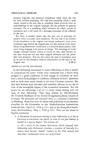#### THEOLOGICAL OBSERVER 607

ministry linguistic and historical competence really clears the way for truly relevant preaching. For only that preaching which is most closely related to the text, that is, preaching which proceeds from an understanding of the original language, has the promise of genuine relevance. For it is preaching which embraces the whole process of translation and is the result of a thorough awareness of the difficulty of the text.

But there is another reason why one may not, in principle, be satisfied with a currently used translation. For not only is the relation of the translation to the original text always inadequate, since every translation lags behind the original text, but also because every translation, being historically conditioned, is a transient phenomenon, since every living language is in process of change. The meanings of words change; concepts become useless in course of time; they become, as one says, worn out and lose their original substance and the power they once possessed. Also for this reason the task of translation must go on and on and demands constant reorientation on the basis of the original text. P. M. B.

### THESES ON ALTAR FELLOWSHIP

Is altar fellowship tantamount to church fellowship, or does it initiate or consummate the latter? Under what conditions maya church body pledged to a given confession of faith engage in *communia in sacris*  with a church body pledged to a different confession of faith? Questions such as these were raised already in the early Christian centuries. But they have become most articulate and extremely relevant in our day in view of the inescapable impact of the ecumenical movement. For this reason we are submitting a set of 14 timely theses dealing with the issue of altar fellowshjp. They were drafted by *Oberkirchenrat*  Dr. Friedrich Huebener of the United Evangelical-Lutheran Church of Germany. He presented and discussed them at a Lutheran Conference in Flensburg. Some time later the theses were published in the *lnformatiamblaft fur die Gemeinden in den Niederdeutschen Lutherischen Landeskirchen* (April 21, 1958, p. 131) and in the *Evangelisch-Lutherische Kirchenzeitung* (May 1, 1958, p. 142). Here are the theses in English translation:

1. A discussion of questions relating to altar fellowship is, so far as Germany is concerned, one which, in view of our past history, is loaded in a special degree. The reasons are:

a) As a result of the solemn declaration which imposed altar fellowship with Reformed churches, a number of basically Lutheran areas became "united" *(uniert)* in the 19th century and thus their confessional status was jeopardized;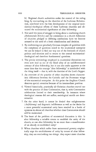b) Regional church authorities under the control of the ruling king, by encroaching on the churches of the Lutheran Reformation, interfered with the free development of the original ecclesiastical-theological efforts of these Lutheran churches and obscured the ecclesiastical significance of altar fellowship.

- 2. Not until the years of struggle to bring about a confessing church *(Bekennende Kirche)* and the coexistence in a church federation of churches pledged to differing confessions have we become aroused to the need of a fresh consideration and decision.
- 3. By confronting our peculiarly German complex of questions with the complexes of questions raised in the ecumenical enterprise we can be helped to find our way out of the lowlands of church politics and emotion and to return to the central ecclesiasticaltheological and therefore fundamental questions.
- 4. The precise terminology employed in ecumenical discussions can even now lead us out of the blind alley of an undifferentiated concept of altar fellowship, but it can also make apparent at the same time that the concept "altar fellowship" is interlocked with the thing itself — that is, with the doctrine of the Lord's Supper.
- 5. An overview of the practice of other churches shows characteristic differences between the Catholic and the Protestant wings of the ecumenical enterprise. At this point the Anglican Church deserves special attention because of its intermediate position.
- 6. Viewed historically, practically all Christian churches started out with the practice of close Communion, that is, with Communion celebrations limited to their membership. In instances where theological reasons did not suffice, sociological motifs are determinative.
- 7. On the other hand, it cannot be denied that enlightenment *(Aufklarung)* and dogmatic indifference as well as the desire for a more powerful ecumenical unity have resulted in a battle of opinions in almost all churches whether close Communion should still be maintained.
- 8. The heart of the problem of ecumenical discussion is this: Is altar fellowship a suitable means to establish the unity of the church, or can altar fellowship be no more than a manifestation of an already re-established unity?
- 9. When churches which suffer from sacramental poverty emphatically urge the establishment of unity by means of altar fellowship, they are overlooking two things: they expect sister churches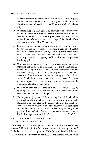to surrender their dogmatic interpretation of the Lord's Supper, and at the same time they confirm the original conviction of the church that altar fellowship is a manifestation of church fellowship.

- 10. Whoever proposes universal altar fellowship and nevertheless insists on borderlines between churches reveals either that he does not know what the Lord's Supper means according to the will of its Founder or that he has a concept of the church different from that of the New Testament.
- 11. If it is true that Christian denominations of all shades are, without any difference, "branches" of the true church and therefore the "true" church of Jesus Christ, then all further continuance within limits prescribed by confessions and every close Communion practice is an easygoing traditionalism and a separation involving guilt.
- 12. With respect to its own position in the ecumenical enterprise regarding the question of altar fellowship, the Evangelical Lutheran Church appeals neither to the Greek-Orthodox nor to the Anglican Church, because it may not support either the traditionalism of the one group or the vacuous episcopalism of the other. It will have to travel its own route between the sacramentally impoverished churches to the left and the sacramentally overstuffed churches to the right.
- 13. Its decision may not lose itself in a false objectivity of an  $ex$ *opere operata* or in a false subjectivity which makes out of the *Lord's* Supper the *Church's* Supper.
- 14. The impending judgment of the returning Lord of the church is the theologically compelling reason for a continuing struggle regarding altar fellowship as the manifestation of church fellowship. Since church fellowship and altar fellowship are contingent on, and demand, each other and remain genuinely true only when predicated on confession fellowship, the whole Lutheran Church is called to repentance and decision. P. M. B.

# BRIEF ITEMS FROM THE NEWS BUREAU OF THE NATIONAL LUTHERAN COUNCIL

*Minneapolis.* - The Evangelical Lutheran Church will open a new mission field in Brazil this fall, it was announced here by Dr. Rolf A. Syrdal, executive secretary of the ELC's Board of Foreign Missions.

The new field, authorized by the ELC's 1956 general convention, *is*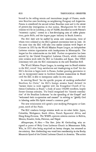located in the rolling terrain and intermittent jungle of Parana, southwest Brazilian state bordering on neighboring Paraguay and Argentina. Parana is considered the second richest Brazilian state and is the center of present-day immigration in that nation. Headquarters for the new mission will be in Londrina, a city of 70,000, described as north Parana's "economic capital," central in a fast-developing area of coffee plantations, grain fields, and the largest paper industry in South America.

The ELC field will be staffed by seven new missionaries, three of whom were ordained at the ELC's general convention here in June. At the same time the ELC will take over earlier mission work begun at Cianorte in 1953 by the World Mission Prayer League, an independent Lutheran mission organization with headquarters in Minneapolis. The league has five missionaries on the field. Further co-operation has been assured by the United Evangelical Lutheran Church, which conducts joint mission work with the ELC in Colombia and Japan. One UELC missionary will join the ELC missionaries in the new Brazilian field.

The World Mission Prayer League, in turning over its Brazil mission to the ELC, voiced "deep satisfaction and thanksgiving to God" for the ELC's decision to begin work in Parana, further granting permission to use its incorporated name to facilitate business transactions in Brazil until the ELC is able to incorporate under its own name.

In entering Brazil "for the specific purpose of reaching unchurched Brazilians for Christ," the ELC's foreign mission board declared its "earnest desire to work together with the Evangelical Church of Lutheran Confession in Brazil," a body of some 550,000 members, largely former German colonists. The board recognized the "historic contribution" of the Brazilian Lutherans "to the spreading of the Gospel" and "welcomed their co-operation and counsel" in striving to "glorify God in laboring under His Spirit toward a common goal." '

The new missionaries will spend a year studying Portuguese at Campanas, north of Sao Paulo.

The ELC conducts foreign mission work on six other fields: Japan, Colombia, Madagascar, South Africa, French Equatorial Africa, and Hong Kong-Formosa. The WMPL operates mission stations in Bolivia, Mexico, Ecuador, India, Pakistan, and NepaL

Albuquerque, N. Mex. - The Rev. John H. Gerberding, who resigned as pastor of Holy Cross Lutheran Church in Menomonee Falls, Wis., in 1955 after being acquitted on heresy charges, has returned to the ministry. Rev. Gerberding was voted into membership in the Rocky Mountain Synod of the United Lutheran Church in America. The action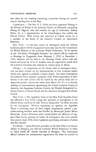was taken by the standing examining committee during the synod's annual meeting here in late May.

*Copenhagen.* - The Rev. K. C. Holm has been appointed Bishop of the Diocese of Funen in the Lutheran Church of Denmark, succeeding Bishop H. Olgaard, who had reached the age of retirement. Bishop Holm, 43, is a representative of the Grundtvigian line within the Danish Church. Well known and respected in church circles, he is a member of the board of the Church's Council on Interchurch Relations.

*New York.* - A two-year course of theological study for African Lutheran pastors will be inaugurated early next year by the Commission on World Mission of the Lutheran World Federation. To be known as the "All-Africa Theological Seminar," the school will be conducted at Marangu in Tanganyika from February 1, 1959, to December 1, 1960. Sessions will be held at the Marangu Hotel, which will also board and house the 10 to 15 students who are expected to enroll from the Lutheran Churches and missions in various parts of Africa.

*Chicago.* — A compromise on the thorny issue of theological education has been worked out by representatives of four Lutheran bodies which have agreed to establish a united church. The Joint Commission on Lutheran Unity adopted a proposal under which supervision of seminaries in the new church will be shared by the central body and its respective synods. Action was taken here, March 20-21, at a two-day meeting of commissioners representing the United Lutheran Church in America, the Augustana Lutheran Church, the Finnish Evangelical Lutheran Church, or Suomi Synod, and the American Evangelical Lutheran Church.

*New York.-The* Appellate Term of the New York Supreme Court has affirmed a *City* Court ruling that sponsors of immigrants to the United States could not be held "forever responsible" for debts incurred by the immigrants. Without expressing an opinion, the Appellate Term, a reviewing court of three judges, unanimously upheld a precedent-setting decision made last October by Municipal Justice Henry Silverman. Justice Silverman ruled unenforceable the affidavits of support filled out by sponsors of nearly all immigrants who have entered this country since 1924, when legislation governing admission of aliens was first enacted.

*Stockholm.-* Janos Horvath, president of the State Office for Church Affairs in Hungary, has told the Lutheran World Federation in effect to "keep hands off" church concerns in Hungary. The Communist official rebuked the international organization for what he termed its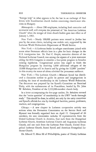"foreign help" in what appears to be the last in an exchange of four letters with Scandinavian church leaders concerning church-state relations in Hungary.

*Minneapolis.* - About 200 employees, including both executive and secretarial staff, will compose the personnel of "the American Lutheran Church" when the merger of three church bodies goes into effect as of January 1, 1961.

*New York.-Nearly* 100,000 patients were treated in Jordan last year by the seven clinics, including one mobile unit, supported by the Lutheran World Federation's Department of World Service.

*New York.* - A Lutheran leader in refugee resettlement joined with seven other Protestant officials here in a plea for basic changes in the U. S. immigration law. Dr. Paul C. Empie, executive director of the National Lutheran Council, was among the signers of a joint statement asking the 85th Congress to consider a four-point program to broaden existing legislation. Congressional action was urged to finish the Hungarian program by receiving 3,000 additional refugees of the 19,000 Hungarians still in Austria and by giving the 32,000 "parolees" in this country the status of aliens admitted for permanent residence.

*New York.* - The Lutheran Church - Missouri Synod has distributed a discussion outline to guide its pastors and congregations in studying the issue of membership in the Lutheran World Federation. The document was prepared by the Synod's Committee on Doctrinal Unity, with the endorsement of its *Praesidium*, headed by Dr. John W. Behnken, President of the 2,152,000-member church body.

In a letter accompanying the five-page outline, Dr. Behnken stressed that the "entire question" of membership in the LWF "needs thorough study." This should be done, he added, not only by the unity committee and Synod's officials but also by theological faculties, pastors, professors, teachers, and congregations.

Chicago. - A new chapter in Lutheran co-operative activity was written when the Permanent Commission on the Service Book and Hymnal was formally organized here on April 15. Composed of 26 members, the new commission includes 10 representatives from the United Lutheran Church in America, four each from the Evangelical Lutheran Church, American Lutheran Church and Augustana Lutheran Church, and one each from the Lutheran Free Church, United Evangelical Lutheran Church, Suomi Synod, and American Evangelical Lutheran Church.

Dr. Edward T. Horn **III** of Philadelphia, pastor of Trinity Lutheran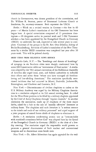church in Germantown, was chosen president of the commission, and Dr. William R. Seaman, pastor of Emmanuel Lutheran Church at Souderton, Pa., secretary-treasurer. Both represent the ULCA.

*Berlin.* — Work on a revised version in German — the first in 60 years — of Martin Luther's translation of the Old Testament has been begun here. A special commission composed of 15 prominent theologians - 10 clergymen active in pastoral work and 5 Old Testament scholars - has been appointed by the Evangelical Church in Germany (EKID) to undertake the task, expected to take several years to complete. Chairman of the groups is the Rt. Rev. Otto Dibelius, bishop of Berlin-Brandenburg. Revision of Luther's ttanslation of the New Testament by a similar EKID committee was completed last year after 30 years work. This will be printed shortly.

#### BRIEF ITEMS FROM RELIGIOUS NEWS SERVICE

*Kiamesha Lake, N.Y.* - The "bombings and threats of bombings" of synagogs in six Southern cities were sharply condemned here by some 600 Conservative rabbis as "reminiscent of Nazi tactics." A resolution adopted by the 58th annual convention of the Rabbinical Assembly of America also urged local, state, and federal authorities to redouble their efforts and arrest those "whose acts have outraged all freedomloving and law-abiding Americans." The resolution specifically mentioned incidents that had occurred in Miami, Nashville, Jacksonville, Birmingham, and Charlotte and Gastonia, N. C.

*New York.* - Discontinuance of civilian chaplains to cadets at the U. S. Military Academy was urged by the Military Chaplains Association in a resolution adopted at its 33d annual meeting here. It called for the West Point position to be filled by a military chaplain appointed by the Chief of Army Chaplains through "regular channels." In another resolution the association, made up of chaplains of the three major faiths, asked for a halt to the sale of "morally offensive" literature at military bases. The chaplains said such literature is "a serious menace to the minds and souls of our military personnel" and urged support of a joint program of armed forces chiefs of chaplains to eliminate it.

*Berlin.* - A resolution condemning atomic war as "irreconcilable with mankind's conscience before God" was adopted here by the Synod of the Evangelical Church in Germany (EKID) at the close of a fiveday meeting. The resolution urged the responsible world powers to promote a general disarmament of both nuclear and conventional weapons and to discontinue atom bomb tests.

*New York.*—Dr. Albert Schweitzer has again appealed for the end-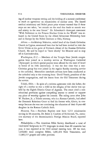ing of nuclear weapons testing and the holding of a summit conference to reach an agreement on renunciation of nuclear arms. The famed medical missionary and Nobel peace prize winner warned that if these steps are not taken, "we remain on the road that leads to atomic war and misery in the near future." Dr. Schweitzer's three-part statement "With Reference to the Present Nuclear Crisis in the World" was released in the United States by the Albert Schweitzer Fellowship here and in Europe by the Nobel Institute at Oslo, Norway.

*Athens.* - Archbishop Makarios, exiled head of the Greek Orthodox Church in Cyprus, announced here that he had been invited to visit the Soviet Union as the guest of Patriarch Alexei of the Russian Orthodox Church. He said he hoped to "leave shortly" for Moscow and to stop off in Czechoslovakia.

*Washington, D. C.* - Members of the Temple Sinai Jewish congregation here joined in a worship service at Washington Cathedral (Episcopal) in which special prayers were offered for the state of Israel in honor of its 10th anniversary. It was the first time that a non-Christian group has ever joined in the regular Sunday morning service at the cathedral. Heretofore interfaith services have been conducted at the cathedral only at the evensong hour. David Yentis, president of the Jewish congregation, read the lesson from the Old Testament during the service.

*Toledo, Ohio.-In* spite of a written agreement with the father, the right of a mother to rear a child in the religion of her choice was upheld by the Eighth District Court of Appeals. The court cited a constitutional provision against compelling anyone to attend or support any place of worship against his consent. The ruling came after John W. Hackett, Jr., a Toledo attorney, who is a Roman Catholic, had asked the Domestic Relations Court to find his former wife, Gloria, in contempt because she was not continuing the education of their 8-year-old daughter in the Roman Catholic faith.

*Houston, Tex.* - Southern Baptists now have 1,213 missionaries serving in 38 countries, Dr. Baker J. Cauthen of Richmond, Va., executive secretary of the denomination's Foreign Mission Board, reported here.

Philadelphia. - The American Bible Society distributed a total of 14,614,642 Scriptures in 271 languages in more than 60 countries last year, it was reported at its 142d annual meeting here. Of the total, 1,050,061 were complete Bibles, 1,681,424 New Testaments, and 11,883,157 gospels and other portions.